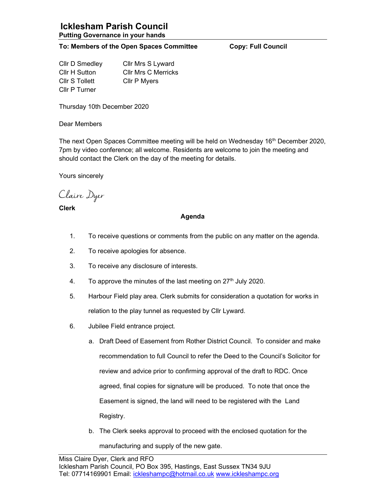## Icklesham Parish Council Putting Governance in your hands

## To: Members of the Open Spaces Committee Copy: Full Council

Cllr D Smedley Cllr Mrs S Lyward Cllr H Sutton Cllr Mrs C Merricks Cllr S Tollett Cllr P Myers Cllr P Turner

Thursday 10th December 2020

Dear Members

The next Open Spaces Committee meeting will be held on Wednesday 16<sup>th</sup> December 2020, 7pm by video conference; all welcome. Residents are welcome to join the meeting and should contact the Clerk on the day of the meeting for details.

Yours sincerely

Claire Dyer

Clerk

## Agenda

- 1. To receive questions or comments from the public on any matter on the agenda.
- 2. To receive apologies for absence.
- 3. To receive any disclosure of interests.
- 4. To approve the minutes of the last meeting on  $27<sup>th</sup>$  July 2020.
- 5. Harbour Field play area. Clerk submits for consideration a quotation for works in relation to the play tunnel as requested by Cllr Lyward.
- 6. Jubilee Field entrance project.
	- a. Draft Deed of Easement from Rother District Council. To consider and make recommendation to full Council to refer the Deed to the Council's Solicitor for review and advice prior to confirming approval of the draft to RDC. Once agreed, final copies for signature will be produced. To note that once the Easement is signed, the land will need to be registered with the Land Registry.
	- b. The Clerk seeks approval to proceed with the enclosed quotation for the manufacturing and supply of the new gate.